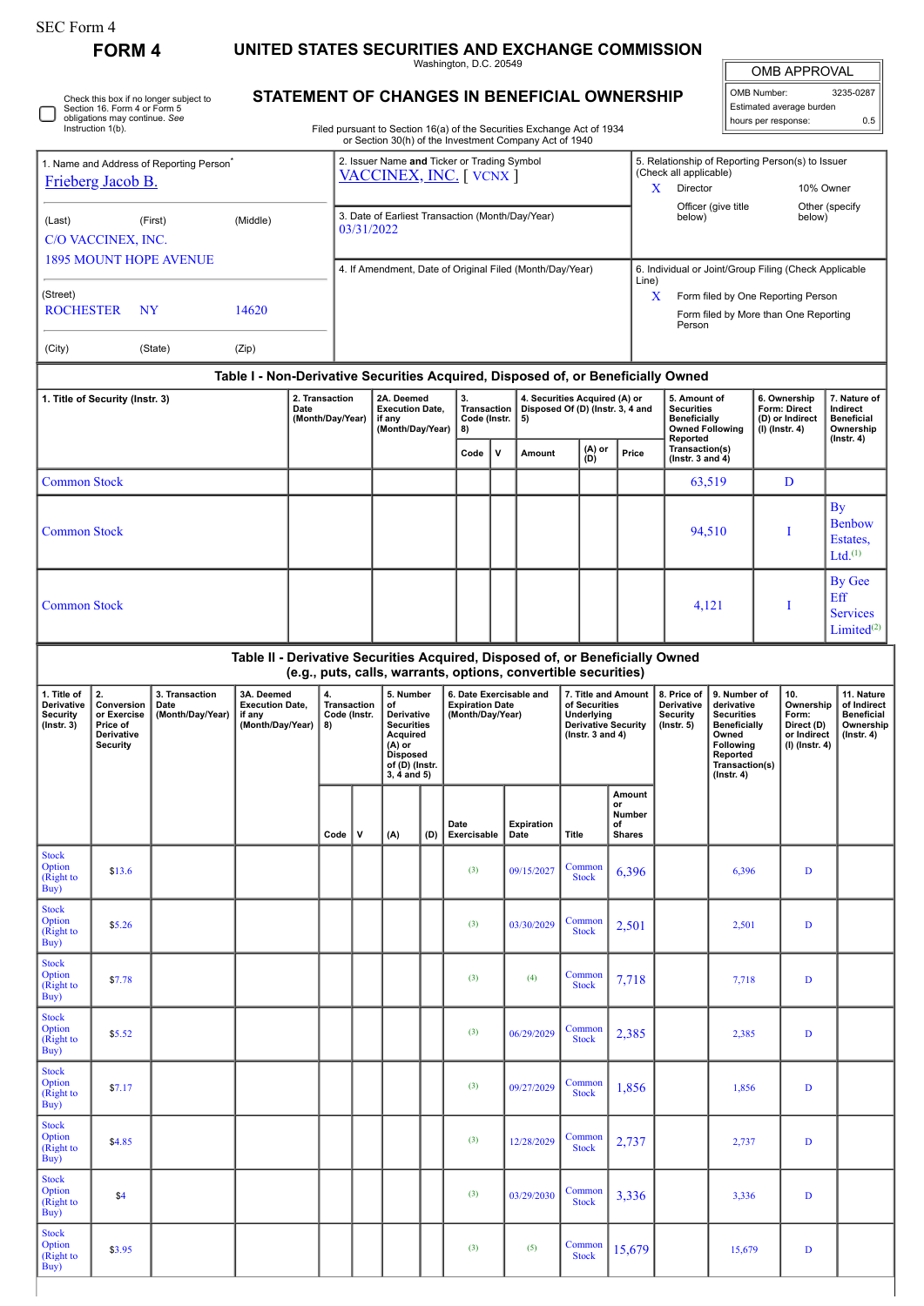Stock Option (Right to Buy)

**FORM 4 UNITED STATES SECURITIES AND EXCHANGE COMMISSION**

Washington, D.C. 20549

OMB APPROVAL

| OMB Number:              | 3235-0287 |  |  |  |  |  |  |  |
|--------------------------|-----------|--|--|--|--|--|--|--|
| Estimated average burden |           |  |  |  |  |  |  |  |
| hours per response:      | 0.5       |  |  |  |  |  |  |  |

Check this box if no longer subject to Section 16. Form 4 or Form 5 obligations may continue. *See* Instruction 1(b). ∩ 1. Name and Address of Reporting Person<sup>\*</sup> [Frieberg Jacob B.](http://www.sec.gov/cgi-bin/browse-edgar?action=getcompany&CIK=0001748346)

## **STATEMENT OF CHANGES IN BENEFICIAL OWNERSHIP**

Filed pursuant to Section 16(a) of the Securities Exchange Act of 1934 or Section 30(h) of the Investment Company Act of 1940

| 1. Name and Address of Reporting Person <sup>®</sup><br>Frieberg Jacob B.                                                                                                                                |                     |                  |                                                                               |                                                                      |      |                                                                    |                                                                                                                                    |          | 2. Issuer Name and Ticker or Trading Symbol<br>VACCINEX, INC. [ VCNX ] |   |                                                                                                          |                                                                | 5. Relationship of Reporting Person(s) to Issuer<br>(Check all applicable)<br>Director<br>10% Owner<br>X |                                                                                  |                                                                                                                                                |     |                                                                   |                                                                                 |  |
|----------------------------------------------------------------------------------------------------------------------------------------------------------------------------------------------------------|---------------------|------------------|-------------------------------------------------------------------------------|----------------------------------------------------------------------|------|--------------------------------------------------------------------|------------------------------------------------------------------------------------------------------------------------------------|----------|------------------------------------------------------------------------|---|----------------------------------------------------------------------------------------------------------|----------------------------------------------------------------|----------------------------------------------------------------------------------------------------------|----------------------------------------------------------------------------------|------------------------------------------------------------------------------------------------------------------------------------------------|-----|-------------------------------------------------------------------|---------------------------------------------------------------------------------|--|
| (First)<br>(Middle)<br>(Last)<br>C/O VACCINEX, INC.                                                                                                                                                      |                     |                  |                                                                               |                                                                      |      |                                                                    | 03/31/2022                                                                                                                         |          | 3. Date of Earliest Transaction (Month/Day/Year)                       |   |                                                                                                          |                                                                | Officer (give title<br>Other (specify<br>below)<br>below)                                                |                                                                                  |                                                                                                                                                |     |                                                                   |                                                                                 |  |
| <b>1895 MOUNT HOPE AVENUE</b>                                                                                                                                                                            |                     |                  |                                                                               |                                                                      |      |                                                                    |                                                                                                                                    |          |                                                                        |   | 4. If Amendment, Date of Original Filed (Month/Day/Year)                                                 |                                                                |                                                                                                          | 6. Individual or Joint/Group Filing (Check Applicable                            |                                                                                                                                                |     |                                                                   |                                                                                 |  |
| (Street)<br><b>ROCHESTER</b><br>NY<br>14620                                                                                                                                                              |                     |                  |                                                                               |                                                                      |      |                                                                    |                                                                                                                                    |          |                                                                        |   |                                                                                                          |                                                                | Line)<br>X<br>Form filed by One Reporting Person<br>Form filed by More than One Reporting<br>Person      |                                                                                  |                                                                                                                                                |     |                                                                   |                                                                                 |  |
| (City)                                                                                                                                                                                                   |                     | (State)<br>(Zip) |                                                                               |                                                                      |      |                                                                    |                                                                                                                                    |          |                                                                        |   |                                                                                                          |                                                                |                                                                                                          |                                                                                  |                                                                                                                                                |     |                                                                   |                                                                                 |  |
|                                                                                                                                                                                                          |                     |                  |                                                                               |                                                                      |      |                                                                    |                                                                                                                                    |          |                                                                        |   |                                                                                                          |                                                                |                                                                                                          | Table I - Non-Derivative Securities Acquired, Disposed of, or Beneficially Owned |                                                                                                                                                |     |                                                                   |                                                                                 |  |
| 1. Title of Security (Instr. 3)                                                                                                                                                                          |                     |                  | 2. Transaction<br>Date<br>(Month/Day/Year)                                    |                                                                      |      | 2A. Deemed<br><b>Execution Date,</b><br>if any<br>(Month/Day/Year) |                                                                                                                                    | 3.<br>8) | <b>Transaction</b><br>Code (Instr.                                     |   | 4. Securities Acquired (A) or<br>Disposed Of (D) (Instr. 3, 4 and                                        |                                                                | 5. Amount of<br><b>Securities</b><br><b>Beneficially</b>                                                 | <b>Owned Following</b>                                                           | 6. Ownership<br>Form: Direct<br>(D) or Indirect<br>(I) (Instr. 4)                                                                              |     | 7. Nature of<br>Indirect<br><b>Beneficial</b><br>Ownership        |                                                                                 |  |
|                                                                                                                                                                                                          |                     |                  |                                                                               |                                                                      |      |                                                                    |                                                                                                                                    |          | Code                                                                   | ٧ | Amount                                                                                                   | (A) or<br>(D)                                                  | Price                                                                                                    | Reported<br>Transaction(s)<br>( $lnstr. 3 and 4$ )                               |                                                                                                                                                |     |                                                                   | (Instr. 4)                                                                      |  |
| <b>Common Stock</b>                                                                                                                                                                                      |                     |                  |                                                                               |                                                                      |      |                                                                    |                                                                                                                                    |          |                                                                        |   |                                                                                                          |                                                                |                                                                                                          | 63,519                                                                           |                                                                                                                                                | D   |                                                                   |                                                                                 |  |
| <b>Common Stock</b>                                                                                                                                                                                      |                     |                  |                                                                               |                                                                      |      |                                                                    |                                                                                                                                    |          |                                                                        |   |                                                                                                          |                                                                |                                                                                                          | 94,510                                                                           |                                                                                                                                                | I   |                                                                   | <b>By</b><br><b>Benbow</b><br>Estates.<br>Ltd. <sup>(1)</sup>                   |  |
|                                                                                                                                                                                                          | <b>Common Stock</b> |                  |                                                                               |                                                                      |      |                                                                    |                                                                                                                                    |          |                                                                        |   |                                                                                                          |                                                                |                                                                                                          | 4,121                                                                            |                                                                                                                                                | I   |                                                                   | <b>By Gee</b><br>Eff<br><b>Services</b><br>Limited <sup>(2)</sup>               |  |
|                                                                                                                                                                                                          |                     |                  | Table II - Derivative Securities Acquired, Disposed of, or Beneficially Owned |                                                                      |      |                                                                    |                                                                                                                                    |          |                                                                        |   |                                                                                                          | (e.g., puts, calls, warrants, options, convertible securities) |                                                                                                          |                                                                                  |                                                                                                                                                |     |                                                                   |                                                                                 |  |
| 2.<br>3. Transaction<br>1. Title of<br>Derivative<br>Conversion<br>Date<br>(Month/Day/Year)<br><b>Security</b><br>or Exercise<br>if any<br>$($ Instr. 3 $)$<br>Price of<br>Derivative<br><b>Security</b> |                     |                  |                                                                               | 3A. Deemed<br>4.<br><b>Execution Date,</b><br>(Month/Day/Year)<br>8) |      | <b>Transaction</b><br>Code (Instr.                                 | 5. Number<br>of<br>Derivative<br><b>Securities</b><br>Acquired<br>$(A)$ or<br><b>Disposed</b><br>of (D) (Instr.<br>$3, 4$ and $5)$ |          | 6. Date Exercisable and<br><b>Expiration Date</b><br>(Month/Day/Year)  |   | 7. Title and Amount<br>of Securities<br>Underlying<br><b>Derivative Security</b><br>( $lnstr. 3 and 4$ ) |                                                                |                                                                                                          | 8. Price of<br>Derivative<br><b>Security</b><br>$($ Instr. 5 $)$                 | 9. Number of<br>derivative<br><b>Securities</b><br><b>Beneficially</b><br>Owned<br>Following<br>Reported<br>Transaction(s)<br>$($ Instr. 4 $)$ | 10. | Ownership<br>Form:<br>Direct (D)<br>or Indirect<br>(I) (Instr. 4) | 11. Nature<br>of Indirect<br><b>Beneficial</b><br>Ownership<br>$($ Instr. 4 $)$ |  |
|                                                                                                                                                                                                          |                     |                  |                                                                               |                                                                      | Code | v                                                                  | (A)<br>(D)                                                                                                                         |          | Date<br>Exercisable                                                    |   | <b>Expiration</b><br>Date                                                                                | <b>Title</b>                                                   | Amount<br>or<br>Number<br>of<br><b>Shares</b>                                                            |                                                                                  |                                                                                                                                                |     |                                                                   |                                                                                 |  |
| <b>Stock</b><br>Option<br>(Right to<br>Buy)                                                                                                                                                              | \$13.6              |                  |                                                                               |                                                                      |      |                                                                    |                                                                                                                                    |          | (3)                                                                    |   | 09/15/2027                                                                                               | Common<br><b>Stock</b>                                         | 6,396                                                                                                    |                                                                                  | 6,396                                                                                                                                          |     | D                                                                 |                                                                                 |  |
| <b>Stock</b><br>Option<br>(Right to<br>Buy)                                                                                                                                                              | \$5.26              |                  |                                                                               |                                                                      |      |                                                                    |                                                                                                                                    |          | (3)                                                                    |   | 03/30/2029                                                                                               | Common<br><b>Stock</b>                                         | 2,501                                                                                                    |                                                                                  | 2,501                                                                                                                                          |     | D                                                                 |                                                                                 |  |
| <b>Stock</b><br>Option<br>(Right to<br>Buy)                                                                                                                                                              | \$7.78              |                  |                                                                               |                                                                      |      |                                                                    |                                                                                                                                    |          | (3)                                                                    |   | (4)                                                                                                      | Common<br><b>Stock</b>                                         | 7,718                                                                                                    |                                                                                  | 7,718                                                                                                                                          |     | D                                                                 |                                                                                 |  |
| <b>Stock</b><br>Option<br>(Right to<br>Buy)                                                                                                                                                              | \$5.52              |                  |                                                                               |                                                                      |      |                                                                    |                                                                                                                                    |          | (3)                                                                    |   | 06/29/2029                                                                                               | Common<br><b>Stock</b>                                         | 2,385                                                                                                    |                                                                                  | 2,385                                                                                                                                          |     | D                                                                 |                                                                                 |  |
| <b>Stock</b><br>Option<br>(Right to<br>Buy)                                                                                                                                                              | \$7.17              |                  |                                                                               |                                                                      |      |                                                                    |                                                                                                                                    |          | (3)                                                                    |   | 09/27/2029                                                                                               | Common<br><b>Stock</b>                                         | 1,856                                                                                                    |                                                                                  | 1,856                                                                                                                                          |     | D                                                                 |                                                                                 |  |
| <b>Stock</b><br>Option<br>(Right to<br>Buy)                                                                                                                                                              | \$4.85              |                  |                                                                               |                                                                      |      |                                                                    |                                                                                                                                    |          | (3)                                                                    |   | 12/28/2029                                                                                               | Common<br><b>Stock</b>                                         | 2,737                                                                                                    |                                                                                  | 2,737                                                                                                                                          |     | D                                                                 |                                                                                 |  |
|                                                                                                                                                                                                          |                     |                  |                                                                               |                                                                      |      |                                                                    |                                                                                                                                    |          |                                                                        |   |                                                                                                          |                                                                |                                                                                                          |                                                                                  |                                                                                                                                                |     |                                                                   |                                                                                 |  |

**\$3.95** (3) (3) (5) Common (3) (5) Common (3) (4.5)

Common 15,679 15,679 D